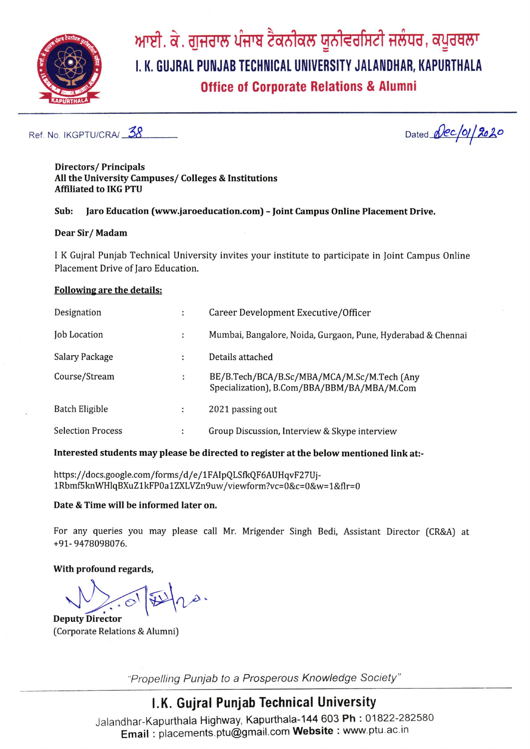

# ਆਈ. ਕੇ. ਗੁਜਰਾਲ ਪੰਜਾਬ ਟੈਕਨੀਕਲ ਯੂਨੀਵਰਸਿਟੀ ਜਲੰਧਰ, ਕਪੂਰਥਲਾ I. K. GUJRAL PUNJAB TECHNICAL UNIVERSITY JALANDHAR, KAPURTHALA **Office of Corporate Relations & Alumni**

Ref. No. IKGPTU/CRA/ 38

Dated *(ec/01/2020* 

#### **Directors/Principals** All the University Campuses/ Colleges & Institutions **Affiliated to IKG PTU**

#### Jaro Education (www.jaroeducation.com) - Joint Campus Online Placement Drive. Sub:

#### Dear Sir/Madam

I K Gujral Punjab Technical University invites your institute to participate in Joint Campus Online Placement Drive of Jaro Education.

#### **Following are the details:**

| Designation              | ÷ | Career Development Executive/Officer                                                       |
|--------------------------|---|--------------------------------------------------------------------------------------------|
| <b>Job Location</b>      | ÷ | Mumbai, Bangalore, Noida, Gurgaon, Pune, Hyderabad & Chennai                               |
| <b>Salary Package</b>    | ٠ | Details attached                                                                           |
| Course/Stream            | Н | BE/B.Tech/BCA/B.Sc/MBA/MCA/M.Sc/M.Tech (Any<br>Specialization), B.Com/BBA/BBM/BA/MBA/M.Com |
| Batch Eligible           | ÷ | 2021 passing out                                                                           |
| <b>Selection Process</b> | и | Group Discussion, Interview & Skype interview                                              |

#### Interested students may please be directed to register at the below mentioned link at:-

https://docs.google.com/forms/d/e/1FAIpQLSfkQF6AUHqvF27Uj-1Rbmf5knWHlqBXuZ1kFP0a1ZXLVZn9uw/viewform?vc=0&c=0&w=1&flr=0

#### Date & Time will be informed later on.

For any queries you may please call Mr. Mrigender Singh Bedi, Assistant Director (CR&A) at +91-9478098076.

#### With profound regards,

**Deputy Director** 

(Corporate Relations & Alumni)

"Propelling Punjab to a Prosperous Knowledge Society"

### I.K. Guiral Punjab Technical University

Jalandhar-Kapurthala Highway, Kapurthala-144 603 Ph: 01822-282580 Email: placements.ptu@gmail.com Website: www.ptu.ac.in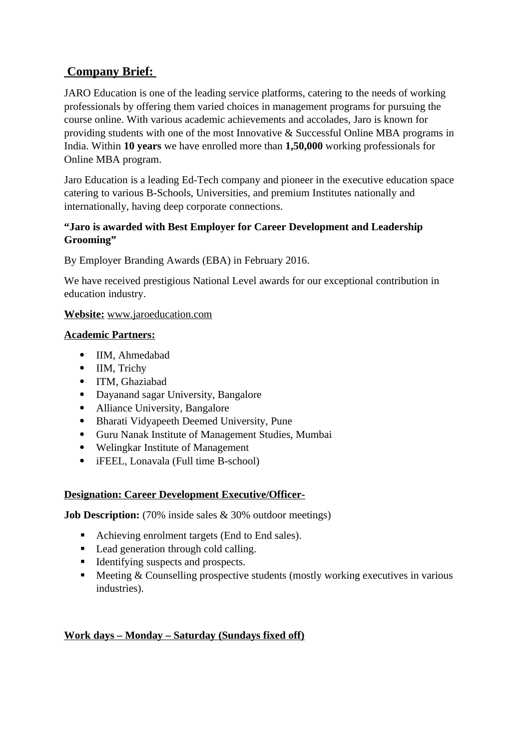### **Company Brief:**

JARO Education is one of the leading service platforms, catering to the needs of working professionals by offering them varied choices in management programs for pursuing the course online. With various academic achievements and accolades, Jaro is known for providing students with one of the most Innovative & Successful Online MBA programs in India. Within **10 years** we have enrolled more than **1,50,000** working professionals for Online MBA program.

Jaro Education is a leading Ed-Tech company and pioneer in the executive education space catering to various B-Schools, Universities, and premium Institutes nationally and internationally, having deep corporate connections.

### **"Jaro is awarded with Best Employer for Career Development and Leadership Grooming"**

By Employer Branding Awards (EBA) in February 2016.

We have received prestigious National Level awards for our exceptional contribution in education industry.

### **Website:** www.jaroeducation.com

### **Academic Partners:**

- IIM, Ahmedabad
- IIM, Trichy
- ITM, Ghaziabad
- Dayanand sagar University, Bangalore
- Alliance University, Bangalore
- Bharati Vidyapeeth Deemed University, Pune
- Guru Nanak Institute of Management Studies, Mumbai
- Welingkar Institute of Management
- iFEEL, Lonavala (Full time B-school)

### **Designation: Career Development Executive/Officer-**

**Job Description:** (70% inside sales & 30% outdoor meetings)

- Achieving enrolment targets (End to End sales).
- **Lead generation through cold calling.**
- Identifying suspects and prospects.
- **Meeting & Counselling prospective students (mostly working executives in various** industries).

### **Work days – Monday – Saturday (Sundays fixed off)**